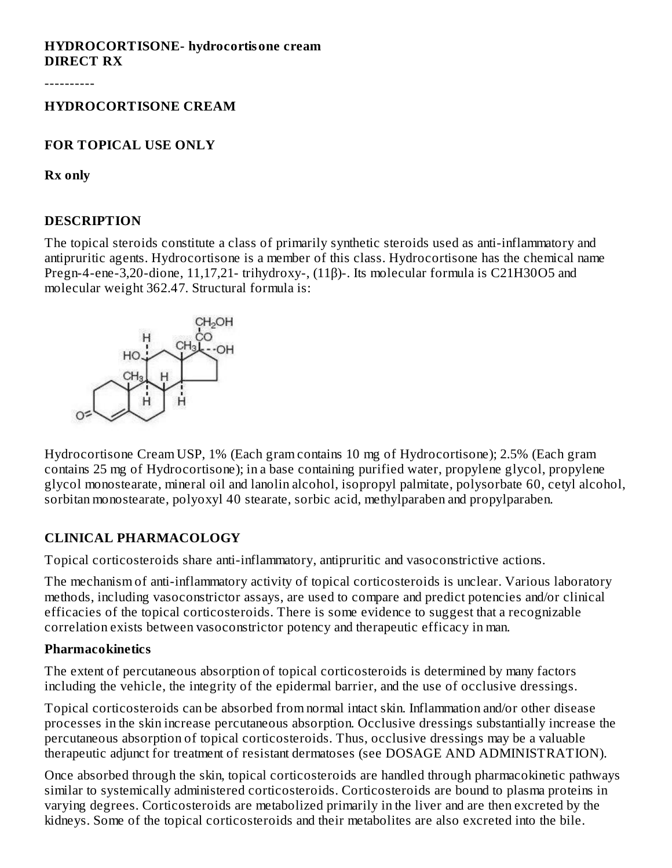#### **HYDROCORTISONE- hydrocortisone cream DIRECT RX**

----------

**HYDROCORTISONE CREAM**

# **FOR TOPICAL USE ONLY**

**Rx only**

# **DESCRIPTION**

The topical steroids constitute a class of primarily synthetic steroids used as anti-inflammatory and antipruritic agents. Hydrocortisone is a member of this class. Hydrocortisone has the chemical name Pregn-4-ene-3,20-dione, 11,17,21- trihydroxy-, (11β)-. Its molecular formula is C21H30O5 and molecular weight 362.47. Structural formula is:



Hydrocortisone Cream USP, 1% (Each gram contains 10 mg of Hydrocortisone); 2.5% (Each gram contains 25 mg of Hydrocortisone); in a base containing purified water, propylene glycol, propylene glycol monostearate, mineral oil and lanolin alcohol, isopropyl palmitate, polysorbate 60, cetyl alcohol, sorbitan monostearate, polyoxyl 40 stearate, sorbic acid, methylparaben and propylparaben.

# **CLINICAL PHARMACOLOGY**

Topical corticosteroids share anti-inflammatory, antipruritic and vasoconstrictive actions.

The mechanism of anti-inflammatory activity of topical corticosteroids is unclear. Various laboratory methods, including vasoconstrictor assays, are used to compare and predict potencies and/or clinical efficacies of the topical corticosteroids. There is some evidence to suggest that a recognizable correlation exists between vasoconstrictor potency and therapeutic efficacy in man.

#### **Pharmacokinetics**

The extent of percutaneous absorption of topical corticosteroids is determined by many factors including the vehicle, the integrity of the epidermal barrier, and the use of occlusive dressings.

Topical corticosteroids can be absorbed from normal intact skin. Inflammation and/or other disease processes in the skin increase percutaneous absorption. Occlusive dressings substantially increase the percutaneous absorption of topical corticosteroids. Thus, occlusive dressings may be a valuable therapeutic adjunct for treatment of resistant dermatoses (see DOSAGE AND ADMINISTRATION).

Once absorbed through the skin, topical corticosteroids are handled through pharmacokinetic pathways similar to systemically administered corticosteroids. Corticosteroids are bound to plasma proteins in varying degrees. Corticosteroids are metabolized primarily in the liver and are then excreted by the kidneys. Some of the topical corticosteroids and their metabolites are also excreted into the bile.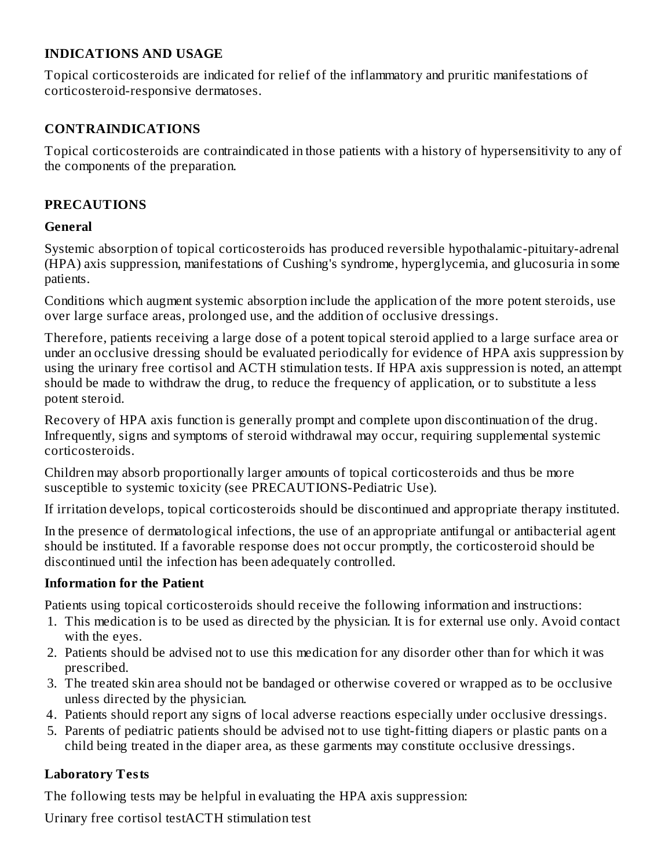# **INDICATIONS AND USAGE**

Topical corticosteroids are indicated for relief of the inflammatory and pruritic manifestations of corticosteroid-responsive dermatoses.

# **CONTRAINDICATIONS**

Topical corticosteroids are contraindicated in those patients with a history of hypersensitivity to any of the components of the preparation.

# **PRECAUTIONS**

# **General**

Systemic absorption of topical corticosteroids has produced reversible hypothalamic-pituitary-adrenal (HPA) axis suppression, manifestations of Cushing's syndrome, hyperglycemia, and glucosuria in some patients.

Conditions which augment systemic absorption include the application of the more potent steroids, use over large surface areas, prolonged use, and the addition of occlusive dressings.

Therefore, patients receiving a large dose of a potent topical steroid applied to a large surface area or under an occlusive dressing should be evaluated periodically for evidence of HPA axis suppression by using the urinary free cortisol and ACTH stimulation tests. If HPA axis suppression is noted, an attempt should be made to withdraw the drug, to reduce the frequency of application, or to substitute a less potent steroid.

Recovery of HPA axis function is generally prompt and complete upon discontinuation of the drug. Infrequently, signs and symptoms of steroid withdrawal may occur, requiring supplemental systemic corticosteroids.

Children may absorb proportionally larger amounts of topical corticosteroids and thus be more susceptible to systemic toxicity (see PRECAUTIONS-Pediatric Use).

If irritation develops, topical corticosteroids should be discontinued and appropriate therapy instituted.

In the presence of dermatological infections, the use of an appropriate antifungal or antibacterial agent should be instituted. If a favorable response does not occur promptly, the corticosteroid should be discontinued until the infection has been adequately controlled.

# **Information for the Patient**

Patients using topical corticosteroids should receive the following information and instructions:

- 1. This medication is to be used as directed by the physician. It is for external use only. Avoid contact with the eyes.
- 2. Patients should be advised not to use this medication for any disorder other than for which it was prescribed.
- 3. The treated skin area should not be bandaged or otherwise covered or wrapped as to be occlusive unless directed by the physician.
- 4. Patients should report any signs of local adverse reactions especially under occlusive dressings.
- 5. Parents of pediatric patients should be advised not to use tight-fitting diapers or plastic pants on a child being treated in the diaper area, as these garments may constitute occlusive dressings.

# **Laboratory Tests**

The following tests may be helpful in evaluating the HPA axis suppression:

Urinary free cortisol testACTH stimulation test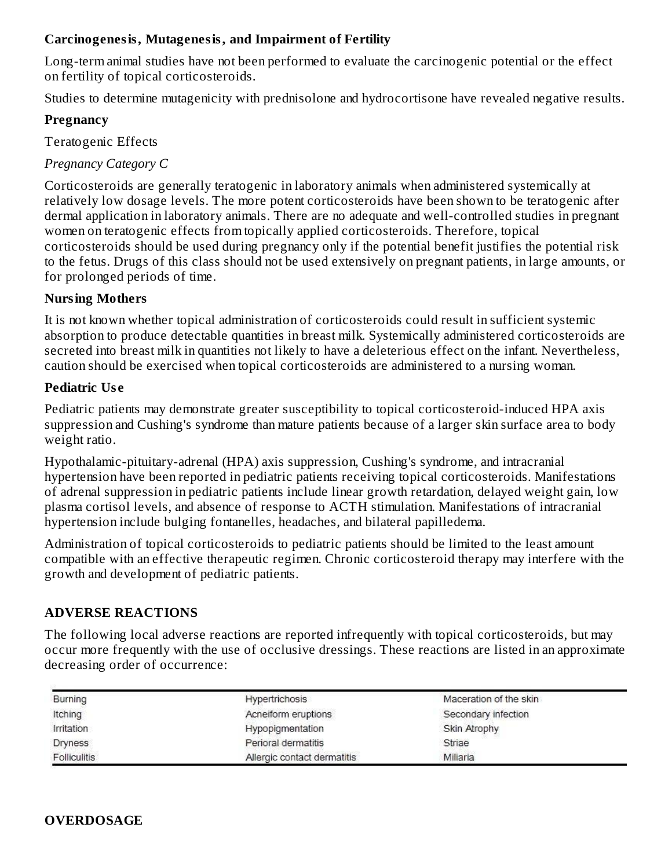# **Carcinogenesis, Mutagenesis, and Impairment of Fertility**

Long-term animal studies have not been performed to evaluate the carcinogenic potential or the effect on fertility of topical corticosteroids.

Studies to determine mutagenicity with prednisolone and hydrocortisone have revealed negative results.

#### **Pregnancy**

Teratogenic Effects

*Pregnancy Category C*

Corticosteroids are generally teratogenic in laboratory animals when administered systemically at relatively low dosage levels. The more potent corticosteroids have been shown to be teratogenic after dermal application in laboratory animals. There are no adequate and well-controlled studies in pregnant women on teratogenic effects from topically applied corticosteroids. Therefore, topical corticosteroids should be used during pregnancy only if the potential benefit justifies the potential risk to the fetus. Drugs of this class should not be used extensively on pregnant patients, in large amounts, or for prolonged periods of time.

# **Nursing Mothers**

It is not known whether topical administration of corticosteroids could result in sufficient systemic absorption to produce detectable quantities in breast milk. Systemically administered corticosteroids are secreted into breast milk in quantities not likely to have a deleterious effect on the infant. Nevertheless, caution should be exercised when topical corticosteroids are administered to a nursing woman.

#### **Pediatric Us e**

Pediatric patients may demonstrate greater susceptibility to topical corticosteroid-induced HPA axis suppression and Cushing's syndrome than mature patients because of a larger skin surface area to body weight ratio.

Hypothalamic-pituitary-adrenal (HPA) axis suppression, Cushing's syndrome, and intracranial hypertension have been reported in pediatric patients receiving topical corticosteroids. Manifestations of adrenal suppression in pediatric patients include linear growth retardation, delayed weight gain, low plasma cortisol levels, and absence of response to ACTH stimulation. Manifestations of intracranial hypertension include bulging fontanelles, headaches, and bilateral papilledema.

Administration of topical corticosteroids to pediatric patients should be limited to the least amount compatible with an effective therapeutic regimen. Chronic corticosteroid therapy may interfere with the growth and development of pediatric patients.

# **ADVERSE REACTIONS**

The following local adverse reactions are reported infrequently with topical corticosteroids, but may occur more frequently with the use of occlusive dressings. These reactions are listed in an approximate decreasing order of occurrence:

| Burning             | Hypertrichosis              | Maceration of the skin |  |
|---------------------|-----------------------------|------------------------|--|
| Itching             | Acneiform eruptions         | Secondary infection    |  |
| Irritation          | Hypopigmentation            | Skin Atrophy           |  |
| <b>Dryness</b>      | Perioral dermatitis         | Striae                 |  |
| <b>Folliculitis</b> | Allergic contact dermatitis | Miliaria               |  |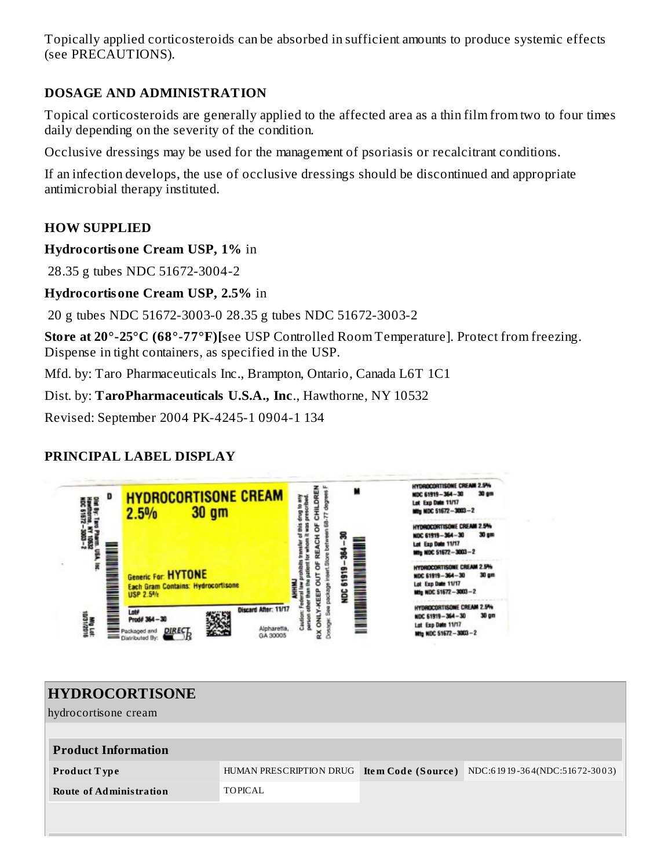Topically applied corticosteroids can be absorbed in sufficient amounts to produce systemic effects (see PRECAUTIONS).

# **DOSAGE AND ADMINISTRATION**

Topical corticosteroids are generally applied to the affected area as a thin film from two to four times daily depending on the severity of the condition.

Occlusive dressings may be used for the management of psoriasis or recalcitrant conditions.

If an infection develops, the use of occlusive dressings should be discontinued and appropriate antimicrobial therapy instituted.

# **HOW SUPPLIED**

**Hydrocortisone Cream USP, 1%** in

28.35 g tubes NDC 51672-3004-2

**Hydrocortisone Cream USP, 2.5%** in

20 g tubes NDC 51672-3003-0 28.35 g tubes NDC 51672-3003-2

**Store at 20°-25°C (68°-77°F)[**see USP Controlled Room Temperature]. Protect from freezing. Dispense in tight containers, as specified in the USP.

Mfd. by: Taro Pharmaceuticals Inc., Brampton, Ontario, Canada L6T 1C1

Dist. by: **TaroPharmaceuticals U.S.A., Inc**., Hawthorne, NY 10532

Revised: September 2004 PK-4245-1 0904-1 134

# **PRINCIPAL LABEL DISPLAY**



| <b>HYDROCORTISONE</b>          |                                            |                                       |
|--------------------------------|--------------------------------------------|---------------------------------------|
| hydrocortisone cream           |                                            |                                       |
| <b>Product Information</b>     |                                            |                                       |
| Product Type                   | HUMAN PRESCRIPTION DRUG Item Code (Source) | NDC:6 19 19 - 364 (NDC:516 72 - 3003) |
| <b>Route of Administration</b> | <b>TOPICAL</b>                             |                                       |
|                                |                                            |                                       |
|                                |                                            |                                       |